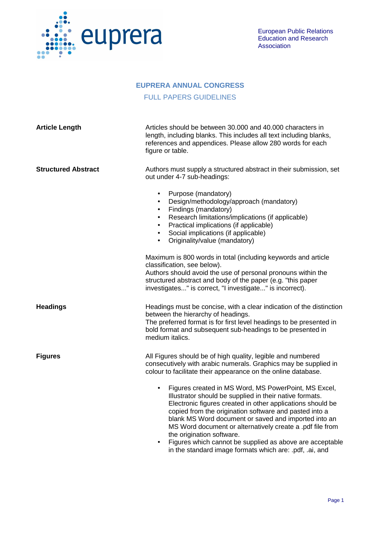

## **EUPRERA ANNUAL CONGRESS**

## FULL PAPERS GUIDELINES

| <b>Article Length</b>      | Articles should be between 30.000 and 40.000 characters in<br>length, including blanks. This includes all text including blanks,<br>references and appendices. Please allow 280 words for each<br>figure or table.                                                                                                                                                                                                                                                                                                           |
|----------------------------|------------------------------------------------------------------------------------------------------------------------------------------------------------------------------------------------------------------------------------------------------------------------------------------------------------------------------------------------------------------------------------------------------------------------------------------------------------------------------------------------------------------------------|
| <b>Structured Abstract</b> | Authors must supply a structured abstract in their submission, set<br>out under 4-7 sub-headings:                                                                                                                                                                                                                                                                                                                                                                                                                            |
|                            | Purpose (mandatory)<br>$\bullet$<br>Design/methodology/approach (mandatory)<br>$\bullet$<br>Findings (mandatory)<br>Research limitations/implications (if applicable)<br>Practical implications (if applicable)<br>$\bullet$<br>Social implications (if applicable)<br>Originality/value (mandatory)<br>$\bullet$                                                                                                                                                                                                            |
|                            | Maximum is 800 words in total (including keywords and article<br>classification, see below).<br>Authors should avoid the use of personal pronouns within the<br>structured abstract and body of the paper (e.g. "this paper<br>investigates" is correct, "I investigate" is incorrect).                                                                                                                                                                                                                                      |
| <b>Headings</b>            | Headings must be concise, with a clear indication of the distinction<br>between the hierarchy of headings.<br>The preferred format is for first level headings to be presented in<br>bold format and subsequent sub-headings to be presented in<br>medium italics.                                                                                                                                                                                                                                                           |
| <b>Figures</b>             | All Figures should be of high quality, legible and numbered<br>consecutively with arabic numerals. Graphics may be supplied in<br>colour to facilitate their appearance on the online database.                                                                                                                                                                                                                                                                                                                              |
|                            | Figures created in MS Word, MS PowerPoint, MS Excel,<br>$\bullet$<br>Illustrator should be supplied in their native formats.<br>Electronic figures created in other applications should be<br>copied from the origination software and pasted into a<br>blank MS Word document or saved and imported into an<br>MS Word document or alternatively create a .pdf file from<br>the origination software.<br>Figures which cannot be supplied as above are acceptable<br>in the standard image formats which are: pdf, .ai, and |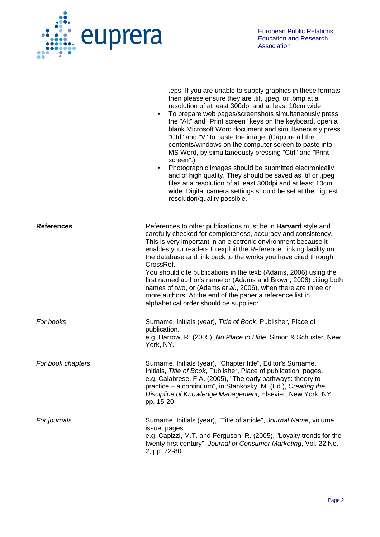

|                   | eps. If you are unable to supply graphics in these formats<br>then please ensure they are .tif, .jpeg, or .bmp at a<br>resolution of at least 300dpi and at least 10cm wide.<br>To prepare web pages/screenshots simultaneously press<br>$\bullet$<br>the "Alt" and "Print screen" keys on the keyboard, open a<br>blank Microsoft Word document and simultaneously press<br>"Ctrl" and "V" to paste the image. (Capture all the<br>contents/windows on the computer screen to paste into<br>MS Word, by simultaneously pressing "Ctrl" and "Print<br>screen".)<br>Photographic images should be submitted electronically<br>$\bullet$<br>and of high quality. They should be saved as .tif or .jpeg<br>files at a resolution of at least 300dpi and at least 10cm<br>wide. Digital camera settings should be set at the highest<br>resolution/quality possible. |
|-------------------|------------------------------------------------------------------------------------------------------------------------------------------------------------------------------------------------------------------------------------------------------------------------------------------------------------------------------------------------------------------------------------------------------------------------------------------------------------------------------------------------------------------------------------------------------------------------------------------------------------------------------------------------------------------------------------------------------------------------------------------------------------------------------------------------------------------------------------------------------------------|
| <b>References</b> | References to other publications must be in <b>Harvard</b> style and<br>carefully checked for completeness, accuracy and consistency.<br>This is very important in an electronic environment because it<br>enables your readers to exploit the Reference Linking facility on<br>the database and link back to the works you have cited through<br>CrossRef.<br>You should cite publications in the text: (Adams, 2006) using the<br>first named author's name or (Adams and Brown, 2006) citing both<br>names of two, or (Adams et al., 2006), when there are three or<br>more authors. At the end of the paper a reference list in<br>alphabetical order should be supplied:                                                                                                                                                                                    |
| For books         | Surname, Initials (year), Title of Book, Publisher, Place of<br>publication.<br>e.g. Harrow, R. (2005), No Place to Hide, Simon & Schuster, New<br>York, NY.                                                                                                                                                                                                                                                                                                                                                                                                                                                                                                                                                                                                                                                                                                     |
| For book chapters | Surname, Initials (year), "Chapter title", Editor's Surname,<br>Initials, Title of Book, Publisher, Place of publication, pages.<br>e.g. Calabrese, F.A. (2005), "The early pathways: theory to<br>practice – a continuum", in Stankosky, M. (Ed.), Creating the<br>Discipline of Knowledge Management, Elsevier, New York, NY,<br>pp. 15-20.                                                                                                                                                                                                                                                                                                                                                                                                                                                                                                                    |
| For journals      | Surname, Initials (year), "Title of article", Journal Name, volume<br>issue, pages.<br>e.g. Capizzi, M.T. and Ferguson, R. (2005), "Loyalty trends for the<br>twenty-first century", Journal of Consumer Marketing, Vol. 22 No.<br>2, pp. 72-80.                                                                                                                                                                                                                                                                                                                                                                                                                                                                                                                                                                                                                 |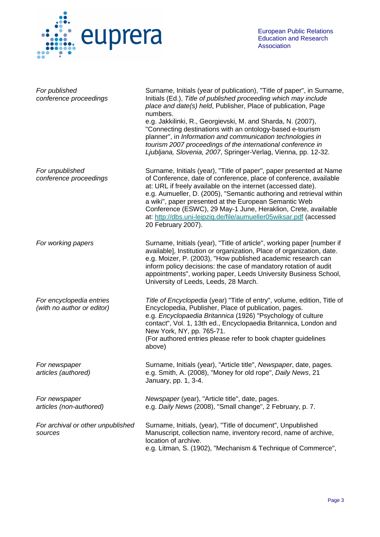

| For published<br>conference proceedings                | Surname, Initials (year of publication), "Title of paper", in Surname,<br>Initials (Ed.), Title of published proceeding which may include<br>place and date(s) held, Publisher, Place of publication, Page<br>numbers.<br>e.g. Jakkilinki, R., Georgievski, M. and Sharda, N. (2007),<br>"Connecting destinations with an ontology-based e-tourism<br>planner", in Information and communication technologies in<br>tourism 2007 proceedings of the international conference in<br>Ljubljana, Slovenia, 2007, Springer-Verlag, Vienna, pp. 12-32. |
|--------------------------------------------------------|---------------------------------------------------------------------------------------------------------------------------------------------------------------------------------------------------------------------------------------------------------------------------------------------------------------------------------------------------------------------------------------------------------------------------------------------------------------------------------------------------------------------------------------------------|
| For unpublished<br>conference proceedings              | Surname, Initials (year), "Title of paper", paper presented at Name<br>of Conference, date of conference, place of conference, available<br>at: URL if freely available on the internet (accessed date).<br>e.g. Aumueller, D. (2005), "Semantic authoring and retrieval within<br>a wiki", paper presented at the European Semantic Web<br>Conference (ESWC), 29 May-1 June, Heraklion, Crete, available<br>at: http://dbs.uni-leipzig.de/file/aumueller05wiksar.pdf (accessed<br>20 February 2007).                                             |
| For working papers                                     | Surname, Initials (year), "Title of article", working paper [number if<br>available], Institution or organization, Place of organization, date.<br>e.g. Moizer, P. (2003), "How published academic research can<br>inform policy decisions: the case of mandatory rotation of audit<br>appointments", working paper, Leeds University Business School,<br>University of Leeds, Leeds, 28 March.                                                                                                                                                   |
| For encyclopedia entries<br>(with no author or editor) | Title of Encyclopedia (year) "Title of entry", volume, edition, Title of<br>Encyclopedia, Publisher, Place of publication, pages.<br>e.g. Encyclopaedia Britannica (1926) "Psychology of culture<br>contact", Vol. 1, 13th ed., Encyclopaedia Britannica, London and<br>New York, NY, pp. 765-71.<br>(For authored entries please refer to book chapter guidelines<br>above)                                                                                                                                                                      |
| For newspaper<br>articles (authored)                   | Surname, Initials (year), "Article title", Newspaper, date, pages.<br>e.g. Smith, A. (2008), "Money for old rope", Daily News, 21<br>January, pp. 1, 3-4.                                                                                                                                                                                                                                                                                                                                                                                         |
| For newspaper<br>articles (non-authored)               | Newspaper (year), "Article title", date, pages.<br>e.g. Daily News (2008), "Small change", 2 February, p. 7.                                                                                                                                                                                                                                                                                                                                                                                                                                      |
| For archival or other unpublished<br>sources           | Surname, Initials, (year), "Title of document", Unpublished<br>Manuscript, collection name, inventory record, name of archive,<br>location of archive.<br>e.g. Litman, S. (1902), "Mechanism & Technique of Commerce",                                                                                                                                                                                                                                                                                                                            |